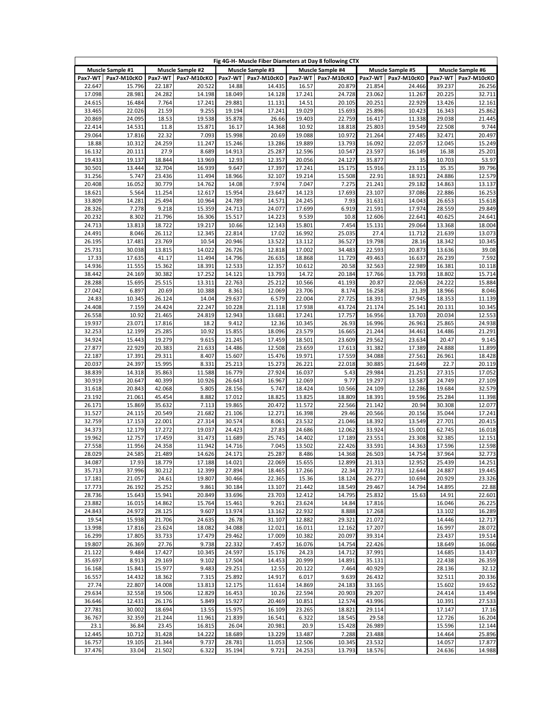|                  |                  |                  |                  |                  |                  |                  | Fig 4G-H- Muscle Fiber Diameters at Day 8 following CTX |                  |                  |                  |                  |
|------------------|------------------|------------------|------------------|------------------|------------------|------------------|---------------------------------------------------------|------------------|------------------|------------------|------------------|
|                  | Muscle Sample #1 |                  | Muscle Sample #2 |                  | Muscle Sample #3 |                  | Muscle Sample #4                                        |                  | Muscle Sample #5 |                  | Muscle Sample #6 |
| Pax7-WT          | Pax7-M10cKO      | Pax7-WT          | Pax7-M10cKO      | Pax7-WT          | Pax7-M10cKO      | Pax7-WT          | Pax7-M10cKO                                             | Pax7-WT          | Pax7-M10cKO      | Pax7-WT          | Pax7-M10cKO      |
| 22.647           | 15.796           | 22.187           | 20.522           | 14.88            | 14.435           | 16.57            | 20.879                                                  | 21.854           | 24.466           | 39.237           | 26.256           |
| 17.098           | 28.981           | 24.282           | 14.198           | 18.049           | 14.128           | 17.241           | 24.728                                                  | 23.062           | 11.267           | 20.225           | 32.711           |
| 24.615           | 16.484           | 7.764            | 17.241           | 29.881           | 11.131           | 14.51            | 20.105                                                  | 20.251           | 22.929           | 13.426           | 12.161           |
| 33.465           | 22.026           | 21.59            | 9.255            | 19.194           | 17.241           | 19.029           | 15.693                                                  | 25.896           | 10.423           | 16.343           | 25.862           |
| 20.869<br>22.414 | 24.095<br>14.531 | 18.53<br>11.8    | 19.538<br>15.871 | 35.878<br>16.17  | 26.66<br>14.368  | 19.403<br>10.92  | 22.759<br>18.818                                        | 16.417<br>25.803 | 11.338<br>19.549 | 29.038<br>22.508 | 21.445<br>9.744  |
| 29.064           | 17.816           | 22.32            | 7.093            | 15.998           | 20.69            | 19.088           | 10.972                                                  | 21.264           | 27.485           | 32.471           | 20.497           |
| 18.88            | 10.312           | 24.259           | 11.247           | 15.246           | 13.286           | 19.889           | 13.793                                                  | 16.092           | 22.057           | 12.045           | 15.249           |
| 16.132           | 20.111           | 27.9             | 8.689            | 14.913           | 25.287           | 12.596           | 10.547                                                  | 23.597           | 16.149           | 16.38            | 25.201           |
| 19.433           | 19.137           | 18.844           | 13.969           | 12.93            | 12.357           | 20.056           | 24.127                                                  | 35.877           | 35               | 10.703           | 53.97            |
| 30.501           | 13.444           | 32.704           | 16.939           | 9.647            | 17.397           | 17.241           | 15.175                                                  | 15.916           | 23.115           | 35.35            | 39.796           |
| 31.256           | 5.747            | 23.436           | 11.494           | 18.966           | 32.107           | 19.214           | 15.508                                                  | 22.91            | 18.921           | 24.886           | 12.579           |
| 20.408           | 16.052           | 30.779           | 14.762           | 14.08            | 7.974            | 7.047            | 7.275                                                   | 21.241           | 29.182           | 14.863           | 13.137           |
| 18.621           | 5.564            | 11.254           | 12.617           | 15.954           | 23.647           | 14.123           | 17.693                                                  | 23.107           | 37.086           | 22.886           | 16.253           |
| 33.809           | 14.281           | 25.494           | 10.964           | 24.789           | 14.571           | 24.245           | 7.93                                                    | 31.631           | 14.043           | 26.653           | 15.618           |
| 28.326           | 7.278            | 9.218            | 15.359           | 24.713           | 24.077           | 17.699           | 6.919                                                   | 21.591           | 17.974           | 28.559           | 29.849           |
| 20.232           | 8.302            | 21.796           | 16.306           | 15.517           | 14.223           | 9.539            | 10.8                                                    | 12.606           | 22.641           | 40.625           | 24.641           |
| 24.713           | 13.813           | 18.722           | 19.217           | 10.66            | 12.143           | 15.801           | 7.454                                                   | 15.131           | 29.064           | 13.368           | 18.004           |
| 24.491           | 8.046            | 26.112           | 12.345           | 22.814           | 17.02            | 16.992           | 25.035                                                  | 27.4             | 11.712           | 21.639           | 13.073           |
| 26.195<br>25.731 | 17.481<br>30.038 | 23.769<br>13.815 | 10.54<br>14.022  | 20.946<br>26.726 | 13.522<br>12.818 | 13.112<br>17.002 | 36.527<br>34.483                                        | 19.798<br>22.593 | 28.16<br>20.873  | 18.342<br>13.636 | 10.345<br>39.08  |
| 17.33            | 17.635           | 41.17            | 11.494           | 14.796           | 26.635           | 18.868           | 11.729                                                  | 49.463           | 16.637           | 26.239           | 7.592            |
| 14.936           | 11.555           | 15.362           | 18.391           | 12.533           | 12.357           | 10.612           | 20.58                                                   | 32.563           | 22.989           | 16.381           | 10.118           |
| 38.442           | 24.169           | 30.382           | 17.252           | 14.121           | 13.793           | 14.72            | 20.184                                                  | 17.766           | 13.793           | 18.802           | 15.714           |
| 28.288           | 15.695           | 25.515           | 13.311           | 22.763           | 25.212           | 10.566           | 41.193                                                  | 20.87            | 22.063           | 24.222           | 15.884           |
| 27.042           | 6.897            | 20.69            | 10.388           | 8.361            | 12.069           | 23.706           | 8.174                                                   | 16.258           | 21.39            | 18.966           | 8.046            |
| 24.83            | 10.345           | 26.124           | 14.04            | 29.637           | 6.579            | 22.004           | 27.725                                                  | 18.391           | 37.945           | 18.353           | 11.139           |
| 24.408           | 7.159            | 24.424           | 22.247           | 10.228           | 21.118           | 17.938           | 43.724                                                  | 21.174           | 25.141           | 20.131           | 10.345           |
| 26.558           | 10.92            | 21.465           | 24.819           | 12.943           | 13.681           | 17.241           | 17.757                                                  | 16.956           | 13.703           | 20.034           | 12.553           |
| 19.937           | 23.071           | 17.816           | 18.2             | 9.412            | 12.36            | 10.345           | 26.93                                                   | 16.996           | 26.961           | 25.865           | 24.938           |
| 32.253           | 12.199           | 25.285           | 10.92            | 15.855           | 18.096           | 23.579           | 16.665                                                  | 21.244           | 34.461           | 14.486           | 21.291           |
| 34.924           | 15.443           | 19.279           | 9.615            | 21.245           | 17.459           | 18.501           | 23.609                                                  | 29.562           | 23.634           | 20.47            | 9.145            |
| 27.877           | 22.929           | 20.383           | 21.633           | 14.486           | 12.508           | 23.659           | 17.613                                                  | 31.382           | 17.389           | 24.888           | 11.899           |
| 22.187           | 17.391           | 29.311           | 8.407            | 15.607           | 15.476           | 19.971           | 17.559                                                  | 34.088           | 27.561           | 26.961           | 18.428           |
| 20.037<br>38.839 | 24.397<br>14.318 | 15.995<br>35.863 | 8.331<br>11.588  | 25.213<br>16.779 | 15.273<br>27.924 | 26.221<br>16.037 | 22.018<br>5.43                                          | 30.885<br>29.984 | 21.649<br>21.251 | 22.7<br>27.315   | 20.119<br>17.052 |
| 30.919           | 20.647           | 40.399           | 10.926           | 26.643           | 16.967           | 12.069           | 9.77                                                    | 19.297           | 13.587           | 24.749           | 27.109           |
| 31.618           | 20.843           | 42.068           | 5.805            | 28.156           | 5.747            | 18.424           | 10.566                                                  | 24.109           | 12.286           | 19.684           | 32.579           |
| 23.192           | 21.061           | 45.454           | 8.882            | 17.012           | 18.825           | 13.825           | 18.809                                                  | 18.391           | 19.596           | 25.284           | 11.398           |
| 26.171           | 15.869           | 35.632           | 7.113            | 19.865           | 20.472           | 11.572           | 22.566                                                  | 21.142           | 20.94            | 30.308           | 12.077           |
| 31.527           | 24.115           | 20.549           | 21.682           | 21.106           | 12.271           | 16.398           | 29.46                                                   | 20.566           | 20.156           | 35.044           | 17.241           |
| 32.759           | 17.153           | 22.001           | 27.314           | 30.574           | 8.061            | 23.532           | 21.046                                                  | 18.392           | 13.549           | 27.701           | 20.415           |
| 34.373           | 12.179           | 17.272           | 19.037           | 24.423           | 27.83            | 24.686           | 12.062                                                  | 33.924           | 15.001           | 62.745           | 16.018           |
| 19.962           | 12.757           | 17.459           | 31.473           | 11.689           | 25.745           | 14.402           | 17.189                                                  | 23.551           | 23.308           | 32.385           | 12.151           |
| 27.558           | 11.956           | 24.358           | 11.942           | 14.716           | 7.045            | 13.502           | 22.426                                                  | 33.591           | 14.363           | 17.596           | 12.598           |
| 28.029           | 24.585           | 21.489           | 14.626           | 24.171           | 25.287           | 8.486            | 14.368                                                  | 26.503           | 14.754           | 37.964           | 32.773           |
| 34.087           | 17.93            | 18.779           | 17.188           | 14.021           | 22.069           | 15.655           | 12.899                                                  | 21.313           | 12.952           | 25.439           | 14.251           |
| 35.713           | 37.996           | 30.212           | 12.399           | 27.894           | 18.465           | 17.266           | 22.34                                                   | 27.731           | 12.644           | 24.887           | 19.445           |
| 17.181           | 21.057           | 24.61            | 19.807           | 30.466           | 22.365           | 15.36            | 18.124                                                  | 26.277           | 10.694           | 20.929           | 23.326           |
| 17.773<br>28.736 | 26.192<br>15.643 | 25.252<br>15.941 | 9.861<br>20.849  | 30.184<br>33.696 | 13.107<br>23.703 | 21.442<br>12.412 | 18.549<br>14.795                                        | 29.467<br>25.832 | 14.794<br>15.63  | 14.895<br>14.91  | 22.88<br>22.601  |
| 23.882           | 16.015           | 14.862           | 15.764           | 15.461           | 9.261            | 23.624           | 14.84                                                   | 17.816           |                  | 16.046           | 26.225           |
| 24.843           | 24.972           | 28.125           | 9.607            | 13.974           | 13.162           | 22.932           | 8.888                                                   | 17.268           |                  | 13.102           | 16.289           |
| 19.54            | 15.938           | 21.706           | 24.635           | 26.78            | 31.107           | 12.882           | 29.321                                                  | 21.072           |                  | 14.446           | 12.717           |
| 13.998           | 17.816           | 23.624           | 18.082           | 34.088           | 12.021           | 16.011           | 12.162                                                  | 17.207           |                  | 16.997           | 28.072           |
| 16.299           | 17.805           | 33.733           | 17.479           | 29.462           | 17.009           | 10.382           | 20.097                                                  | 39.314           |                  | 23.437           | 19.514           |
| 19.807           | 26.369           | 27.76            | 9.738            | 22.332           | 7.457            | 16.076           | 14.754                                                  | 22.426           |                  | 18.649           | 16.066           |
| 21.122           | 9.484            | 17.427           | 10.345           | 24.597           | 15.176           | 24.23            | 14.712                                                  | 37.991           |                  | 14.685           | 13.437           |
| 35.697           | 8.913            | 29.169           | 9.102            | 17.504           | 14.453           | 20.999           | 14.891                                                  | 35.131           |                  | 22.438           | 26.359           |
| 16.168           | 15.841           | 15.977           | 9.483            | 29.251           | 12.55            | 20.122           | 7.464                                                   | 40.929           |                  | 28.136           | 32.12            |
| 16.557           | 14.432           | 18.362           | 7.315            | 25.892           | 14.917           | 6.017            | 9.639                                                   | 26.432           |                  | 32.511           | 20.336           |
| 27.74            | 22.807           | 14.008           | 13.813           | 12.175           | 11.614           | 14.869           | 24.183                                                  | 33.165           |                  | 15.602           | 19.652           |
| 29.634           | 32.558           | 19.506           | 12.829           | 16.453           | 10.26            | 22.594           | 20.903                                                  | 29.207           |                  | 24.414           | 13.494           |
| 36.646           | 12.431           | 26.176           | 5.849            | 15.927           | 20.469           | 10.851           | 12.574                                                  | 43.996           |                  | 10.391           | 27.533           |
| 27.781           | 30.002           | 18.694           | 13.55            | 15.975           | 16.109           | 23.265           | 18.821                                                  | 29.114           |                  | 17.147           | 17.16            |
| 36.767<br>23.1   | 32.359<br>36.84  | 21.244<br>23.45  | 11.961<br>16.815 | 21.839<br>26.04  | 16.541<br>20.981 | 6.322<br>20.9    | 18.545<br>15.428                                        | 29.58<br>26.989  |                  | 12.726<br>15.596 | 16.204<br>12.144 |
| 12.445           | 10.712           | 31.428           | 14.222           | 18.689           | 13.229           | 13.487           | 7.288                                                   | 23.488           |                  | 14.464           | 25.896           |
| 16.757           | 19.105           | 21.344           | 9.737            | 28.781           | 11.053           | 12.506           | 10.345                                                  | 23.532           |                  | 14.057           | 17.877           |
| 37.476           | 33.04            | 21.502           | 6.322            | 35.194           | 9.721            | 24.253           | 13.793                                                  | 18.576           |                  | 24.636           | 14.988           |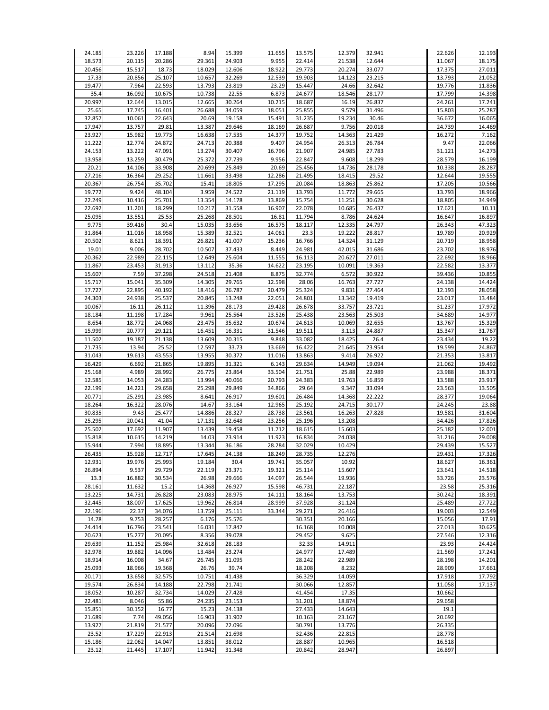| 24.185 | 23.226 | 17.188 | 8.94   | 15.399 | 11.655 | 13.575 | 12.379 | 32.941 | 22.626 | 12.193 |
|--------|--------|--------|--------|--------|--------|--------|--------|--------|--------|--------|
| 18.573 | 20.115 | 20.286 | 29.361 | 24.903 | 9.955  | 22.414 | 21.538 | 12.644 | 11.067 | 18.175 |
| 20.456 | 15.517 | 18.73  | 18.029 | 12.606 | 18.922 | 29.773 | 20.274 | 33.077 | 17.375 | 27.011 |
|        |        |        |        |        |        |        |        |        |        |        |
| 17.33  | 20.856 | 25.107 | 10.657 | 32.269 | 12.539 | 19.903 | 14.123 | 23.215 | 13.793 | 21.052 |
| 19.477 | 7.964  | 22.593 | 13.793 | 23.819 | 23.29  | 15.447 | 24.66  | 32.642 | 19.776 | 11.836 |
| 35.4   | 16.092 | 10.675 | 10.738 | 22.55  | 6.873  | 24.677 | 18.546 | 28.177 | 17.799 | 14.398 |
|        |        |        |        |        |        |        |        |        |        |        |
| 20.997 | 12.644 | 13.015 | 12.665 | 30.264 | 10.215 | 18.687 | 16.19  | 26.837 | 24.261 | 17.241 |
| 25.65  | 17.745 | 16.401 | 26.688 | 34.059 | 18.051 | 25.855 | 9.579  | 31.496 | 15.803 | 25.287 |
| 32.857 | 10.061 | 22.643 | 20.69  | 19.158 | 15.491 | 31.235 | 19.234 | 30.46  | 36.672 | 16.065 |
| 17.947 | 13.757 | 29.81  | 13.387 | 29.646 | 18.169 | 26.687 | 9.756  | 20.018 | 24.739 | 14.469 |
|        |        |        |        |        |        |        |        |        |        |        |
| 23.927 | 15.982 | 19.773 | 16.638 | 17.535 | 14.377 | 19.752 | 14.363 | 21.429 | 16.272 | 7.162  |
| 11.222 | 12.774 | 24.872 | 24.713 | 20.388 | 9.407  | 24.954 | 26.313 | 26.784 | 9.47   | 22.066 |
| 24.153 | 13.222 | 47.091 | 13.274 | 30.407 | 16.796 | 21.907 | 24.985 | 27.783 | 31.121 | 14.273 |
|        |        |        |        |        |        |        |        |        |        |        |
| 13.958 | 13.259 | 30.479 | 25.372 | 27.739 | 9.956  | 22.847 | 9.608  | 18.299 | 28.579 | 16.199 |
| 20.21  | 14.106 | 33.908 | 20.699 | 25.849 | 20.69  | 25.456 | 14.736 | 28.178 | 10.338 | 28.287 |
| 27.216 | 16.364 | 29.252 | 11.661 | 33.498 | 12.286 | 21.495 | 18.415 | 29.52  | 12.644 | 19.555 |
| 20.367 | 26.754 | 35.702 | 15.41  | 18.805 | 17.295 | 20.084 | 18.863 | 25.862 | 17.205 | 10.566 |
|        |        |        |        |        |        |        |        |        |        |        |
| 19.772 | 9.424  | 48.104 | 3.959  | 24.522 | 21.119 | 13.793 | 11.772 | 29.665 | 13.793 | 18.966 |
| 22.249 | 10.416 | 25.701 | 13.354 | 14.178 | 13.869 | 15.754 | 11.251 | 30.628 | 18.805 | 34.949 |
| 22.692 | 11.201 | 18.299 | 10.217 | 31.558 | 16.907 | 22.078 | 10.685 | 26.437 | 17.621 | 10.11  |
|        |        |        |        |        |        |        |        |        |        |        |
| 25.095 | 13.551 | 25.53  | 25.268 | 28.501 | 16.81  | 11.794 | 8.786  | 24.624 | 16.647 | 16.897 |
| 9.775  | 39.416 | 30.4   | 15.035 | 33.656 | 16.575 | 18.117 | 12.335 | 24.797 | 26.343 | 47.323 |
| 31.864 | 11.016 | 18.958 | 15.389 | 32.521 | 14.061 | 23.3   | 19.222 | 28.817 | 19.789 | 20.929 |
| 20.502 | 8.621  | 18.391 | 26.821 | 41.007 | 15.236 | 16.766 | 14.324 | 31.129 | 20.719 | 18.958 |
|        |        |        |        |        |        |        |        |        |        |        |
| 19.01  | 9.006  | 28.702 | 10.507 | 37.433 | 8.449  | 24.981 | 42.015 | 31.686 | 23.702 | 18.976 |
| 20.362 | 22.989 | 22.115 | 12.649 | 25.604 | 11.555 | 16.113 | 20.627 | 27.011 | 22.692 | 18.966 |
| 11.867 | 23.453 | 31.913 | 13.112 | 35.36  | 14.622 | 23.195 | 10.091 | 19.363 | 22.582 | 13.377 |
|        |        |        |        |        |        |        |        |        |        |        |
| 15.607 | 7.59   | 37.298 | 24.518 | 21.408 | 8.875  | 32.774 | 6.572  | 30.922 | 39.436 | 10.855 |
| 15.717 | 15.041 | 35.309 | 14.305 | 29.765 | 12.598 | 28.06  | 16.763 | 27.727 | 24.138 | 14.424 |
| 17.727 | 22.895 | 40.192 | 18.416 | 26.787 | 20.479 | 25.324 | 9.831  | 27.464 | 12.193 | 28.058 |
| 24.303 | 24.938 | 25.537 | 20.845 | 13.248 | 22.051 | 24.801 | 13.342 | 19.419 | 23.017 | 13.484 |
|        |        |        |        |        |        |        |        |        |        |        |
| 10.067 | 16.11  | 26.112 | 11.396 | 28.173 | 29.428 | 26.678 | 33.757 | 23.721 | 31.237 | 17.972 |
| 18.184 | 11.198 | 17.284 | 9.961  | 25.564 | 23.526 | 25.438 | 23.563 | 25.503 | 34.689 | 14.977 |
| 8.654  | 18.772 | 24.068 | 23.475 | 35.632 | 10.674 | 24.613 | 10.069 | 32.655 | 13.767 | 15.329 |
| 15.999 | 20.777 | 29.121 | 16.451 | 16.331 | 31.546 | 19.511 | 3.113  | 24.887 | 15.347 | 31.767 |
|        |        |        |        |        |        |        |        |        |        |        |
| 11.502 | 19.187 | 21.138 | 13.609 | 20.315 | 9.848  | 33.082 | 18.425 | 26.4   | 23.434 | 19.22  |
| 21.735 | 13.94  | 25.52  | 12.597 | 33.73  | 13.669 | 16.422 | 21.645 | 23.954 | 19.599 | 24.867 |
| 31.043 | 19.613 | 43.553 | 13.955 | 30.372 | 11.016 | 13.863 | 9.414  | 26.922 | 21.353 | 13.817 |
|        |        |        |        |        |        |        |        |        |        |        |
| 16.429 | 6.692  | 21.865 | 19.895 | 31.321 | 6.143  | 29.634 | 14.949 | 19.094 | 21.062 | 19.492 |
| 25.168 | 4.989  | 28.992 | 26.775 | 23.864 | 33.504 | 21.751 | 25.88  | 22.989 | 23.988 | 18.371 |
| 12.585 | 14.053 | 24.283 | 13.994 | 40.066 | 20.793 | 24.383 | 19.763 | 16.859 | 13.588 | 23.917 |
| 22.199 | 14.221 | 29.658 | 25.298 | 29.849 | 34.866 | 29.64  | 9.347  | 33.094 | 23.563 | 13.505 |
|        |        |        |        |        |        |        |        |        |        |        |
| 20.771 | 25.291 | 23.985 | 8.641  | 26.917 | 19.601 | 26.484 | 14.368 | 22.222 | 28.377 | 19.064 |
| 18.264 | 16.322 | 28.076 | 14.67  | 33.164 | 12.965 | 25.192 | 24.715 | 30.177 | 24.245 | 23.88  |
| 30.835 | 9.43   | 25.477 | 14.886 | 28.327 | 28.738 | 23.561 | 16.263 | 27.828 | 19.581 | 31.604 |
| 25.295 | 20.041 | 41.04  | 17.131 | 32.648 | 23.256 | 25.196 | 13.208 |        | 34.426 | 17.826 |
|        |        |        |        |        |        |        |        |        |        |        |
| 25.502 | 17.692 | 11.907 | 13.439 | 19.458 | 11.712 | 18.615 | 15.603 |        | 25.182 | 12.001 |
| 15.818 | 10.615 | 14.219 | 14.03  | 23.914 | 11.923 | 16.834 | 24.038 |        | 31.216 | 29.008 |
| 15.944 | 7.994  | 18.895 | 13.344 | 36.186 | 28.284 | 32.029 | 10.429 |        | 29.439 | 15.527 |
|        |        |        |        |        |        |        |        |        |        |        |
| 26.435 | 15.928 | 12.717 | 17.645 | 24.138 | 18.249 | 28.735 | 12.276 |        | 29.431 | 17.326 |
| 12.931 | 19.976 | 25.993 | 19.184 | 30.4   | 19.741 | 35.057 | 10.92  |        | 18.627 | 16.361 |
| 26.894 | 9.537  | 29.729 | 22.119 | 23.371 | 19.321 | 25.114 | 15.607 |        | 23.641 | 14.518 |
| 13.3   | 16.882 | 30.534 | 26.98  | 29.666 | 14.097 | 26.544 | 19.936 |        | 33.726 | 23.576 |
|        |        |        |        |        |        |        |        |        |        |        |
| 28.161 | 11.632 | 15.2   | 14.368 | 26.927 | 15.598 | 46.731 | 22.187 |        | 23.58  | 25.316 |
| 13.225 | 14.731 | 26.828 | 23.083 | 28.975 | 14.111 | 18.164 | 13.753 |        | 30.242 | 18.391 |
| 32.445 | 18.007 | 17.625 | 19.962 | 26.814 | 28.999 | 37.928 | 31.124 |        | 25.489 | 27.722 |
| 22.196 | 22.37  | 34.076 | 13.759 | 25.111 | 33.344 | 29.271 | 26.416 |        | 19.003 | 12.549 |
|        |        |        |        |        |        |        |        |        |        |        |
| 14.78  | 9.753  | 28.257 | 6.176  | 25.576 |        | 30.351 | 20.166 |        | 15.056 | 17.91  |
| 24.414 | 16.796 | 23.541 | 16.031 | 17.842 |        | 16.168 | 10.008 |        | 27.013 | 30.625 |
| 20.623 | 15.277 | 20.095 | 8.356  | 39.078 |        | 29.452 | 9.625  |        | 27.546 | 12.316 |
| 29.639 | 11.152 | 25.984 | 32.618 | 28.183 |        | 32.33  | 14.911 |        | 23.93  | 24.424 |
|        |        |        |        |        |        |        |        |        |        |        |
| 32.978 | 19.882 | 14.096 | 13.484 | 23.274 |        | 24.977 | 17.489 |        | 21.569 | 17.241 |
| 18.914 | 16.008 | 34.67  | 26.745 | 31.095 |        | 28.242 | 22.989 |        | 28.198 | 14.201 |
| 25.093 | 18.966 | 19.368 | 26.76  | 39.74  |        | 18.208 | 8.232  |        | 28.909 | 17.661 |
| 20.171 | 13.658 | 32.575 | 10.751 | 41.438 |        | 36.329 | 14.059 |        | 17.918 | 17.792 |
|        |        |        |        |        |        |        |        |        |        |        |
| 19.574 | 26.834 | 14.188 | 22.798 | 21.741 |        | 30.066 | 12.857 |        | 11.058 | 17.137 |
| 18.052 | 10.287 | 32.734 | 14.029 | 27.428 |        | 41.454 | 17.35  |        | 10.662 |        |
| 22.481 | 8.046  | 55.86  | 24.235 | 23.153 |        | 31.201 | 18.874 |        | 29.658 |        |
| 15.851 | 30.152 | 16.77  | 15.23  | 24.138 |        | 27.433 | 14.643 |        | 19.1   |        |
|        |        |        |        |        |        |        |        |        |        |        |
| 21.689 | 7.74   | 49.056 | 16.903 | 31.902 |        | 10.163 | 23.167 |        | 20.692 |        |
| 13.927 | 21.819 | 21.577 | 20.096 | 22.096 |        | 30.791 | 13.776 |        | 26.335 |        |
| 23.52  | 17.229 | 22.913 | 21.514 | 21.698 |        | 32.436 | 22.815 |        | 28.778 |        |
| 15.186 | 22.062 | 14.047 | 13.851 | 38.012 |        | 28.887 | 10.965 |        | 16.518 |        |
| 23.12  |        |        |        |        |        |        |        |        |        |        |
|        | 21.445 | 17.107 | 11.942 | 31.348 |        | 20.842 | 28.947 |        | 26.897 |        |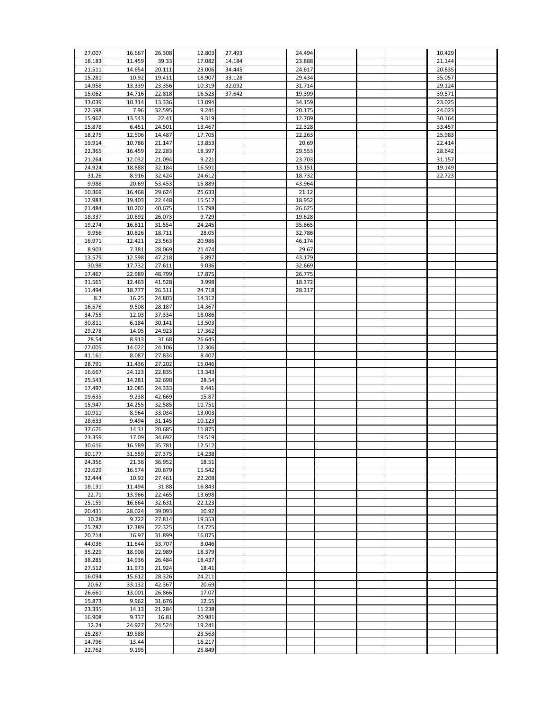|                  | 16.667         |        |                  |        |        |  | 10.429 |  |
|------------------|----------------|--------|------------------|--------|--------|--|--------|--|
| 27.007           |                | 26.308 | 12.803           | 27.493 | 24.494 |  |        |  |
| 18.183           | 11.459         | 39.33  | 17.082           | 14.184 | 23.888 |  | 21.144 |  |
| 21.511           | 14.654         | 20.111 | 23.006           | 34.445 | 24.617 |  | 20.835 |  |
| 15.281           |                |        |                  |        |        |  |        |  |
|                  | 10.92          | 19.411 | 18.907           | 33.128 | 29.434 |  | 35.057 |  |
| 14.958           | 13.339         | 23.356 | 10.319           | 32.092 | 31.714 |  | 29.124 |  |
| 15.062           | 14.716         | 22.818 | 16.523           | 37.642 | 19.399 |  | 39.571 |  |
|                  |                |        |                  |        |        |  |        |  |
| 33.039           | 10.314         | 13.336 | 13.094           |        | 34.159 |  | 23.025 |  |
| 22.598           | 7.96           | 32.595 | 9.241            |        | 20.175 |  | 24.023 |  |
|                  |                |        |                  |        |        |  |        |  |
| 15.962           | 13.543         | 22.41  | 9.319            |        | 12.709 |  | 30.164 |  |
| 15.878           | 6.451          | 24.501 | 13.467           |        | 22.328 |  | 33.457 |  |
| 18.275           | 12.506         | 14.487 | 17.705           |        | 22.263 |  | 25.983 |  |
|                  |                |        |                  |        |        |  |        |  |
| 19.914           | 10.786         | 21.147 | 13.853           |        | 20.69  |  | 22.414 |  |
| 22.365           | 16.459         | 22.283 | 18.397           |        | 29.553 |  | 28.642 |  |
| 21.264           | 12.032         | 21.094 | 9.221            |        | 23.703 |  | 31.157 |  |
|                  |                |        |                  |        |        |  |        |  |
| 24.924           | 18.888         | 32.184 | 16.591           |        | 13.151 |  | 19.149 |  |
| 31.26            | 8.916          | 32.424 | 24.612           |        | 18.732 |  | 22.723 |  |
| 9.988            | 20.69          | 53.453 | 15.889           |        | 43.964 |  |        |  |
|                  |                |        |                  |        |        |  |        |  |
| 10.369           | 16.468         | 29.624 | 25.633           |        | 21.12  |  |        |  |
| 12.983           | 19.403         | 22.448 | 15.517           |        | 18.952 |  |        |  |
|                  |                | 40.675 |                  |        |        |  |        |  |
| 21.484           | 10.202         |        | 15.798           |        | 26.625 |  |        |  |
| 18.337           | 20.692         | 26.073 | 9.729            |        | 19.628 |  |        |  |
| 19.274           | 16.811         | 31.554 | 24.245           |        | 35.665 |  |        |  |
|                  |                |        |                  |        |        |  |        |  |
| 9.956            | 10.826         | 18.711 | 28.05            |        | 32.786 |  |        |  |
| 16.971           | 12.421         | 23.563 | 20.986           |        | 46.174 |  |        |  |
| 8.903            | 7.381          | 28.069 | 21.474           |        | 29.67  |  |        |  |
|                  |                |        |                  |        |        |  |        |  |
| 13.579           | 12.598         | 47.218 | 6.897            |        | 43.179 |  |        |  |
| 30.98            | 17.732         | 27.611 | 9.036            |        | 32.669 |  |        |  |
|                  |                |        |                  |        |        |  |        |  |
| 17.467           | 22.989         | 48.799 | 17.875           |        | 26.775 |  |        |  |
| 31.565           | 12.463         | 41.528 | 3.998            |        | 18.372 |  |        |  |
| 11.494           | 18.777         | 26.311 | 24.718           |        | 28.317 |  |        |  |
|                  |                |        |                  |        |        |  |        |  |
| 8.7              | 16.25          | 24.803 | 14.312           |        |        |  |        |  |
| 16.576           | 9.508          | 28.187 | 14.367           |        |        |  |        |  |
| 34.755           | 12.03          | 37.334 | 18.086           |        |        |  |        |  |
|                  |                |        |                  |        |        |  |        |  |
| 30.811           | 6.184          | 30.141 | 13.503           |        |        |  |        |  |
| 29.278           | 14.05          | 24.923 | 17.362           |        |        |  |        |  |
|                  |                |        |                  |        |        |  |        |  |
| 28.54            | 8.913          | 31.68  | 26.645           |        |        |  |        |  |
| 27.005           | 14.022         | 24.106 | 12.306           |        |        |  |        |  |
| 41.161           | 8.087          | 27.834 | 8.407            |        |        |  |        |  |
|                  |                |        |                  |        |        |  |        |  |
| 28.791           | 11.436         | 27.202 | 15.046           |        |        |  |        |  |
| 16.667           | 24.123         | 22.835 | 13.343           |        |        |  |        |  |
| 25.543           | 14.281         | 32.698 | 28.54            |        |        |  |        |  |
|                  |                |        |                  |        |        |  |        |  |
| 17.497           | 12.085         | 24.333 | 9.441            |        |        |  |        |  |
| 19.635           | 9.238          | 42.669 | 15.87            |        |        |  |        |  |
|                  |                |        |                  |        |        |  |        |  |
| 15.947           | 14.255         | 32.585 | 11.751           |        |        |  |        |  |
| 10.911           | 8.964          | 33.034 | 13.003           |        |        |  |        |  |
| 28.633           | 9.494          | 31.145 | 10.123           |        |        |  |        |  |
|                  |                |        |                  |        |        |  |        |  |
| 37.676           | 14.31          | 20.685 | 11.875           |        |        |  |        |  |
| 23.359           | 17.09          | 34.692 | 19.519           |        |        |  |        |  |
| 30.616           | 16.589         | 35.781 | 12.512           |        |        |  |        |  |
|                  |                |        |                  |        |        |  |        |  |
| 30.177           | 31.559         | 27.375 | 14.238           |        |        |  |        |  |
| 24.356           | 21.38          | 36.952 | 18.51            |        |        |  |        |  |
| 22.629           |                | 20.679 |                  |        |        |  |        |  |
|                  | 16.574         |        | 11.542           |        |        |  |        |  |
| 32.444           | 10.92          | 27.461 | 22.208           |        |        |  |        |  |
| 18.131           | 11.494         | 31.88  | 16.843           |        |        |  |        |  |
|                  |                |        |                  |        |        |  |        |  |
| 22.71            | 13.966         | 22.465 | 13.698           |        |        |  |        |  |
| 25.159           | 16.664         | 32.631 | 22.123           |        |        |  |        |  |
| 20.431           | 28.024         | 39.093 | 10.92            |        |        |  |        |  |
|                  |                |        |                  |        |        |  |        |  |
| 10.28            | 9.722          | 27.814 | 19.353           |        |        |  |        |  |
| 25.287           | 12.389         | 22.325 | 14.725           |        |        |  |        |  |
| 20.214           | 16.97          |        | 16.075           |        |        |  |        |  |
|                  |                | 31.899 |                  |        |        |  |        |  |
| 44.036           | 11.644         | 33.707 | 8.046            |        |        |  |        |  |
| 35.229           | 18.908         | 22.989 | 18.379           |        |        |  |        |  |
|                  |                |        |                  |        |        |  |        |  |
| 38.285           | 14.936         | 26.484 | 18.437           |        |        |  |        |  |
| 27.512           | 11.973         | 21.924 | 18.41            |        |        |  |        |  |
| 16.094           | 15.612         | 28.326 | 24.211           |        |        |  |        |  |
|                  |                |        |                  |        |        |  |        |  |
| 20.62            | 33.132         | 42.367 | 20.69            |        |        |  |        |  |
| 26.661           | 13.001         | 26.866 | 17.07            |        |        |  |        |  |
| 15.873           | 9.962          |        | 12.55            |        |        |  |        |  |
|                  |                | 31.676 |                  |        |        |  |        |  |
| 23.335           | 14.13          | 21.284 | 11.238           |        |        |  |        |  |
| 16.908           | 9.337          | 16.81  | 20.981           |        |        |  |        |  |
|                  |                |        |                  |        |        |  |        |  |
| 12.24            | 24.927         | 24.524 | 19.241           |        |        |  |        |  |
| 25.287           | 19.588         |        | 23.563           |        |        |  |        |  |
|                  |                |        |                  |        |        |  |        |  |
|                  |                |        |                  |        |        |  |        |  |
| 14.796<br>22.762 | 13.44<br>9.195 |        | 16.217<br>25.849 |        |        |  |        |  |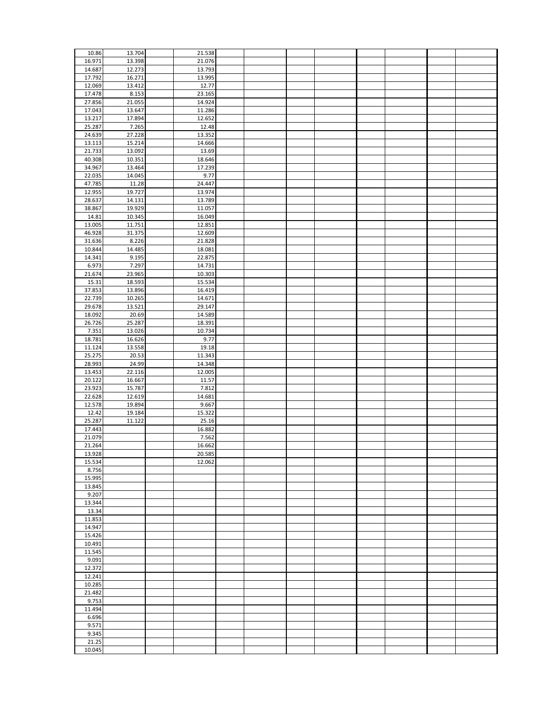| 10.86           | 13.704 | 21.538 |  |  |  |  |
|-----------------|--------|--------|--|--|--|--|
|                 |        |        |  |  |  |  |
| 16.971          | 13.398 | 21.076 |  |  |  |  |
| 14.687          | 12.273 | 13.793 |  |  |  |  |
| 17.792          | 16.271 | 13.995 |  |  |  |  |
| 12.069          | 13.412 | 12.77  |  |  |  |  |
|                 |        |        |  |  |  |  |
| 17.478          | 8.153  | 23.165 |  |  |  |  |
| 27.856          | 21.055 | 14.924 |  |  |  |  |
| 17.043          | 13.647 | 11.286 |  |  |  |  |
|                 |        |        |  |  |  |  |
| 13.217          | 17.894 | 12.652 |  |  |  |  |
| 25.287          | 7.265  | 12.48  |  |  |  |  |
| 24.639          | 27.228 | 13.352 |  |  |  |  |
| 13.113          | 15.214 | 14.666 |  |  |  |  |
|                 |        |        |  |  |  |  |
| 21.733          | 13.092 | 13.69  |  |  |  |  |
| 40.308          | 10.351 | 18.646 |  |  |  |  |
| 34.967          | 13.464 | 17.239 |  |  |  |  |
| 22.035          | 14.045 | 9.77   |  |  |  |  |
| 47.785          | 11.28  | 24.447 |  |  |  |  |
|                 |        |        |  |  |  |  |
| 12.955          | 19.727 | 13.974 |  |  |  |  |
| 28.637          | 14.131 | 13.789 |  |  |  |  |
| 38.867          | 19.929 | 11.057 |  |  |  |  |
| 14.81           | 10.345 | 16.049 |  |  |  |  |
|                 |        |        |  |  |  |  |
| 13.005          | 11.751 | 12.851 |  |  |  |  |
| 46.928          | 31.375 | 12.609 |  |  |  |  |
| 31.636          | 8.226  | 21.828 |  |  |  |  |
| 10.844          | 14.485 | 18.081 |  |  |  |  |
| 14.341          | 9.195  | 22.875 |  |  |  |  |
|                 |        |        |  |  |  |  |
| 6.973           | 7.297  | 14.731 |  |  |  |  |
| 21.674          | 23.965 | 10.303 |  |  |  |  |
| 15.31           | 18.593 | 15.534 |  |  |  |  |
| 37.853          | 13.896 | 16.419 |  |  |  |  |
| 22.739          | 10.265 | 14.671 |  |  |  |  |
|                 |        |        |  |  |  |  |
| 29.678          | 13.521 | 29.147 |  |  |  |  |
| 18.092          | 20.69  | 14.589 |  |  |  |  |
| 26.726          | 25.287 | 18.391 |  |  |  |  |
| 7.351           | 13.026 | 10.734 |  |  |  |  |
| 18.781          | 16.626 | 9.77   |  |  |  |  |
|                 |        |        |  |  |  |  |
| 11.124          | 13.558 | 19.18  |  |  |  |  |
| 25.275          | 20.53  | 11.343 |  |  |  |  |
| 28.993          | 24.99  | 14.348 |  |  |  |  |
| 13.453          | 22.116 | 12.005 |  |  |  |  |
|                 |        |        |  |  |  |  |
|                 |        |        |  |  |  |  |
| 20.122          | 16.667 | 11.57  |  |  |  |  |
| 23.923          | 15.787 | 7.812  |  |  |  |  |
| 22.628          | 12.619 | 14.681 |  |  |  |  |
|                 |        |        |  |  |  |  |
| 12.578          | 19.894 | 9.667  |  |  |  |  |
| 12.42           | 19.184 | 15.322 |  |  |  |  |
| 25.287          | 11.122 | 25.16  |  |  |  |  |
| 17.443          |        | 16.882 |  |  |  |  |
| 21.079          |        | 7.562  |  |  |  |  |
|                 |        | 16.662 |  |  |  |  |
| 21.264          |        |        |  |  |  |  |
| 13.928          |        | 20.585 |  |  |  |  |
| 15.534          |        | 12.062 |  |  |  |  |
| 8.756           |        |        |  |  |  |  |
| 15.995          |        |        |  |  |  |  |
| 13.845          |        |        |  |  |  |  |
|                 |        |        |  |  |  |  |
| 9.207           |        |        |  |  |  |  |
| 13.344          |        |        |  |  |  |  |
| 13.34           |        |        |  |  |  |  |
| 11.853          |        |        |  |  |  |  |
| 14.947          |        |        |  |  |  |  |
|                 |        |        |  |  |  |  |
| 15.426          |        |        |  |  |  |  |
| 10.491          |        |        |  |  |  |  |
| 11.545          |        |        |  |  |  |  |
| 9.091           |        |        |  |  |  |  |
| 12.372          |        |        |  |  |  |  |
|                 |        |        |  |  |  |  |
| 12.241          |        |        |  |  |  |  |
| 10.285          |        |        |  |  |  |  |
| 21.482          |        |        |  |  |  |  |
| 9.753           |        |        |  |  |  |  |
| 11.494          |        |        |  |  |  |  |
|                 |        |        |  |  |  |  |
| 6.696           |        |        |  |  |  |  |
| 9.571           |        |        |  |  |  |  |
| 9.345           |        |        |  |  |  |  |
| 21.25<br>10.045 |        |        |  |  |  |  |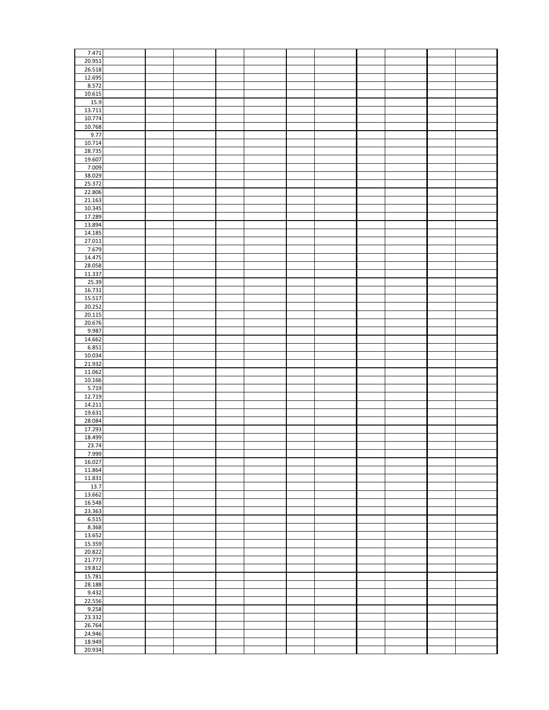| 7.471  |  |  |  |  |  |  |
|--------|--|--|--|--|--|--|
| 20.951 |  |  |  |  |  |  |
| 26.518 |  |  |  |  |  |  |
|        |  |  |  |  |  |  |
| 12.695 |  |  |  |  |  |  |
| 8.572  |  |  |  |  |  |  |
| 10.615 |  |  |  |  |  |  |
| 15.9   |  |  |  |  |  |  |
| 13.711 |  |  |  |  |  |  |
| 10.774 |  |  |  |  |  |  |
| 10.768 |  |  |  |  |  |  |
|        |  |  |  |  |  |  |
| 9.77   |  |  |  |  |  |  |
| 10.714 |  |  |  |  |  |  |
| 28.735 |  |  |  |  |  |  |
| 19.607 |  |  |  |  |  |  |
| 7.009  |  |  |  |  |  |  |
| 38.029 |  |  |  |  |  |  |
| 25.372 |  |  |  |  |  |  |
|        |  |  |  |  |  |  |
| 22.806 |  |  |  |  |  |  |
| 21.163 |  |  |  |  |  |  |
| 10.345 |  |  |  |  |  |  |
| 17.289 |  |  |  |  |  |  |
| 13.894 |  |  |  |  |  |  |
| 14.185 |  |  |  |  |  |  |
| 27.011 |  |  |  |  |  |  |
| 7.679  |  |  |  |  |  |  |
|        |  |  |  |  |  |  |
| 14.475 |  |  |  |  |  |  |
| 28.058 |  |  |  |  |  |  |
| 11.337 |  |  |  |  |  |  |
| 25.39  |  |  |  |  |  |  |
| 16.731 |  |  |  |  |  |  |
| 15.517 |  |  |  |  |  |  |
|        |  |  |  |  |  |  |
| 20.252 |  |  |  |  |  |  |
| 20.115 |  |  |  |  |  |  |
| 20.676 |  |  |  |  |  |  |
| 9.987  |  |  |  |  |  |  |
| 14.662 |  |  |  |  |  |  |
| 6.851  |  |  |  |  |  |  |
| 10.034 |  |  |  |  |  |  |
|        |  |  |  |  |  |  |
| 21.932 |  |  |  |  |  |  |
| 11.062 |  |  |  |  |  |  |
| 10.166 |  |  |  |  |  |  |
| 5.719  |  |  |  |  |  |  |
| 12.719 |  |  |  |  |  |  |
| 14.211 |  |  |  |  |  |  |
|        |  |  |  |  |  |  |
| 19.631 |  |  |  |  |  |  |
| 28.084 |  |  |  |  |  |  |
| 17.293 |  |  |  |  |  |  |
| 18.499 |  |  |  |  |  |  |
| 23.74  |  |  |  |  |  |  |
| 7.999  |  |  |  |  |  |  |
| 16.027 |  |  |  |  |  |  |
|        |  |  |  |  |  |  |
| 11.864 |  |  |  |  |  |  |
| 11.831 |  |  |  |  |  |  |
| 13.7   |  |  |  |  |  |  |
| 13.662 |  |  |  |  |  |  |
| 16.548 |  |  |  |  |  |  |
| 23.363 |  |  |  |  |  |  |
| 6.515  |  |  |  |  |  |  |
|        |  |  |  |  |  |  |
| 8.368  |  |  |  |  |  |  |
| 13.652 |  |  |  |  |  |  |
| 15.359 |  |  |  |  |  |  |
| 20.822 |  |  |  |  |  |  |
| 21.777 |  |  |  |  |  |  |
| 19.812 |  |  |  |  |  |  |
| 15.781 |  |  |  |  |  |  |
|        |  |  |  |  |  |  |
| 28.188 |  |  |  |  |  |  |
| 9.432  |  |  |  |  |  |  |
| 22.556 |  |  |  |  |  |  |
| 9.258  |  |  |  |  |  |  |
| 23.332 |  |  |  |  |  |  |
| 26.764 |  |  |  |  |  |  |
|        |  |  |  |  |  |  |
| 24.946 |  |  |  |  |  |  |
| 18.949 |  |  |  |  |  |  |
| 20.934 |  |  |  |  |  |  |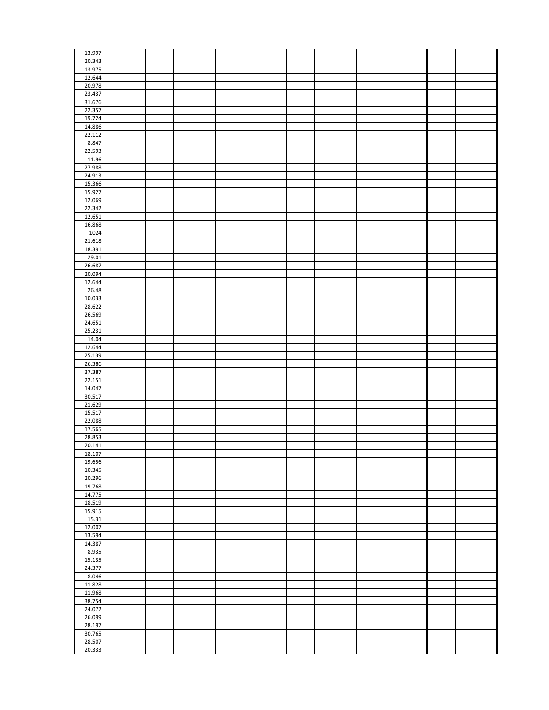| 13.997           |  |  |  |  |  |  |
|------------------|--|--|--|--|--|--|
| 20.343           |  |  |  |  |  |  |
| 13.975           |  |  |  |  |  |  |
|                  |  |  |  |  |  |  |
| 12.644           |  |  |  |  |  |  |
| 20.978           |  |  |  |  |  |  |
|                  |  |  |  |  |  |  |
| 23.437           |  |  |  |  |  |  |
| 31.676           |  |  |  |  |  |  |
| 22.357           |  |  |  |  |  |  |
|                  |  |  |  |  |  |  |
| 19.724           |  |  |  |  |  |  |
| 14.886           |  |  |  |  |  |  |
|                  |  |  |  |  |  |  |
| 22.112           |  |  |  |  |  |  |
| 8.847            |  |  |  |  |  |  |
|                  |  |  |  |  |  |  |
| 22.593           |  |  |  |  |  |  |
| 11.96            |  |  |  |  |  |  |
|                  |  |  |  |  |  |  |
| 27.988           |  |  |  |  |  |  |
| 24.913           |  |  |  |  |  |  |
|                  |  |  |  |  |  |  |
| 15.366           |  |  |  |  |  |  |
| 15.927           |  |  |  |  |  |  |
| 12.069           |  |  |  |  |  |  |
|                  |  |  |  |  |  |  |
| 22.342           |  |  |  |  |  |  |
| 12.651           |  |  |  |  |  |  |
|                  |  |  |  |  |  |  |
| 16.868           |  |  |  |  |  |  |
| 1024             |  |  |  |  |  |  |
|                  |  |  |  |  |  |  |
| 21.618           |  |  |  |  |  |  |
| 18.391           |  |  |  |  |  |  |
| 29.01            |  |  |  |  |  |  |
|                  |  |  |  |  |  |  |
| 26.687           |  |  |  |  |  |  |
| 20.094           |  |  |  |  |  |  |
|                  |  |  |  |  |  |  |
| 12.644           |  |  |  |  |  |  |
| 26.48            |  |  |  |  |  |  |
|                  |  |  |  |  |  |  |
| 10.033           |  |  |  |  |  |  |
| 28.622           |  |  |  |  |  |  |
|                  |  |  |  |  |  |  |
| 26.569           |  |  |  |  |  |  |
| 24.651           |  |  |  |  |  |  |
| 25.231           |  |  |  |  |  |  |
|                  |  |  |  |  |  |  |
| 14.04            |  |  |  |  |  |  |
| 12.644           |  |  |  |  |  |  |
|                  |  |  |  |  |  |  |
|                  |  |  |  |  |  |  |
|                  |  |  |  |  |  |  |
| 25.139           |  |  |  |  |  |  |
| 26.386           |  |  |  |  |  |  |
| 37.387           |  |  |  |  |  |  |
|                  |  |  |  |  |  |  |
| 22.151           |  |  |  |  |  |  |
| 14.047           |  |  |  |  |  |  |
|                  |  |  |  |  |  |  |
| 30.517           |  |  |  |  |  |  |
| 21.629           |  |  |  |  |  |  |
|                  |  |  |  |  |  |  |
| 15.517           |  |  |  |  |  |  |
| 22.088           |  |  |  |  |  |  |
| 17.565           |  |  |  |  |  |  |
|                  |  |  |  |  |  |  |
| 28.853           |  |  |  |  |  |  |
| 20.141           |  |  |  |  |  |  |
|                  |  |  |  |  |  |  |
| 18.107           |  |  |  |  |  |  |
| 19.656           |  |  |  |  |  |  |
| 10.345           |  |  |  |  |  |  |
|                  |  |  |  |  |  |  |
| 20.296           |  |  |  |  |  |  |
| 19.768           |  |  |  |  |  |  |
| 14.775           |  |  |  |  |  |  |
|                  |  |  |  |  |  |  |
| 18.519           |  |  |  |  |  |  |
| 15.915           |  |  |  |  |  |  |
|                  |  |  |  |  |  |  |
| 15.31            |  |  |  |  |  |  |
| 12.007           |  |  |  |  |  |  |
|                  |  |  |  |  |  |  |
| 13.594           |  |  |  |  |  |  |
| 14.387           |  |  |  |  |  |  |
| 8.935            |  |  |  |  |  |  |
|                  |  |  |  |  |  |  |
| 15.135           |  |  |  |  |  |  |
| 24.377           |  |  |  |  |  |  |
|                  |  |  |  |  |  |  |
| 8.046            |  |  |  |  |  |  |
| 11.828           |  |  |  |  |  |  |
|                  |  |  |  |  |  |  |
| 11.968           |  |  |  |  |  |  |
| 38.754           |  |  |  |  |  |  |
|                  |  |  |  |  |  |  |
| 24.072           |  |  |  |  |  |  |
| 26.099           |  |  |  |  |  |  |
|                  |  |  |  |  |  |  |
| 28.197           |  |  |  |  |  |  |
| 30.765           |  |  |  |  |  |  |
|                  |  |  |  |  |  |  |
| 28.507<br>20.333 |  |  |  |  |  |  |